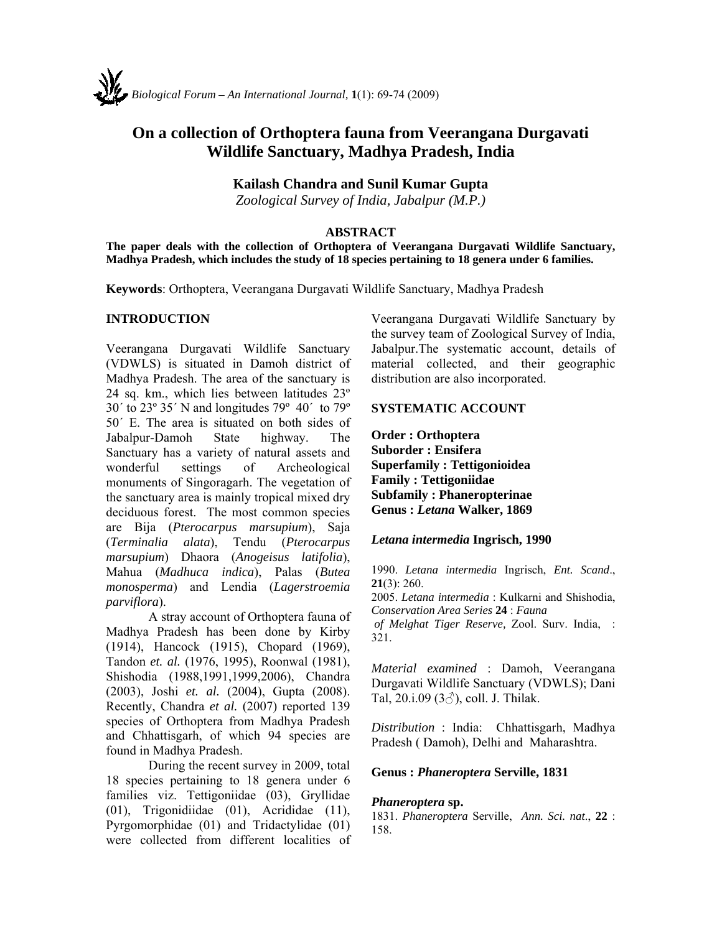# **On a collection of Orthoptera fauna from Veerangana Durgavati Wildlife Sanctuary, Madhya Pradesh, India**

# **Kailash Chandra and Sunil Kumar Gupta**

*Zoological Survey of India, Jabalpur (M.P.)* 

**ABSTRACT**<br>The paper deals with the collection of Orthoptera of Veerangana Durgavati Wildlife Sanctuary, **Madhya Pradesh, which includes the study of 18 species pertaining to 18 genera under 6 families.** 

**Keywords**: Orthoptera, Veerangana Durgavati Wildlife Sanctuary, Madhya Pradesh

#### **INTRODUCTION**

Veerangana Durgavati Wildlife Sanctuary (VDWLS) is situated in Damoh district of Madhya Pradesh. The area of the sanctuary is 24 sq. km., which lies between latitudes 23º 30´ to 23º 35´ N and longitudes 79º 40´ to 79º 50´ E. The area is situated on both sides of Jabalpur-Damoh State highway. The Sanctuary has a variety of natural assets and wonderful settings of Archeological monuments of Singoragarh. The vegetation of the sanctuary area is mainly tropical mixed dry deciduous forest. The most common species are Bija (*Pterocarpus marsupium*), Saja (*Terminalia alata*), Tendu (*Pterocarpus marsupium*) Dhaora (*Anogeisus latifolia*), Mahua (*Madhuca indica*), Palas (*Butea monosperma*) and Lendia (*Lagerstroemia parviflora*).

A stray account of Orthoptera fauna of Madhya Pradesh has been done by Kirby (1914), Hancock (1915), Chopard (1969), Tandon *et. al.* (1976, 1995), Roonwal (1981), Shishodia (1988,1991,1999,2006), Chandra (2003), Joshi *et. al.* (2004), Gupta (2008). Recently, Chandra *et al.* (2007) reported 139 species of Orthoptera from Madhya Pradesh and Chhattisgarh, of which 94 species are found in Madhya Pradesh.

During the recent survey in 2009, total 18 species pertaining to 18 genera under 6 families viz. Tettigoniidae (03), Gryllidae (01), Trigonidiidae (01), Acrididae (11), Pyrgomorphidae (01) and Tridactylidae (01) were collected from different localities of Veerangana Durgavati Wildlife Sanctuary by the survey team of Zoological Survey of India, Jabalpur.The systematic account, details of material collected, and their geographic distribution are also incorporated.

# **SYSTEMATIC ACCOUNT**

**Order : Orthoptera Suborder : Ensifera Superfamily : Tettigonioidea Family : Tettigoniidae Subfamily : Phaneropterinae Genus :** *Letana* **Walker, 1869** 

#### *Letana intermedia* **Ingrisch, 1990**

1990. *Letana intermedia* Ingrisch, *Ent. Scand*., **21**(3): 260. 2005. *Letana intermedia* : Kulkarni and Shishodia, *Conservation Area Series* **24** : *Fauna of Melghat Tiger Reserve,* Zool. Surv. India, : 321.

*Material examined* : Damoh, Veerangana Durgavati Wildlife Sanctuary (VDWLS); Dani Tal,  $20.i.09$  ( $3\textdegree\frac{3}{10}$ ), coll. J. Thilak.

*Distribution* : India: Chhattisgarh, Madhya Pradesh ( Damoh), Delhi and Maharashtra.

# **Genus :** *Phaneroptera* **Serville, 1831**

# *Phaneroptera* **sp.**

1831. *Phaneroptera* Serville, *Ann. Sci. nat*., **22** : 158.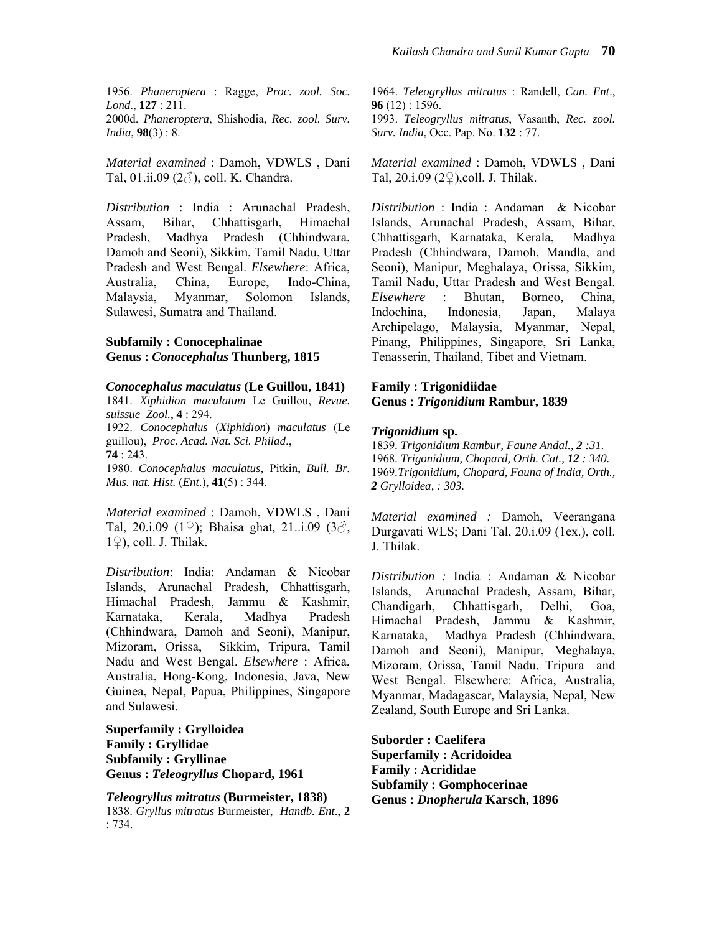1956. *Phaneroptera* : Ragge, *Proc. zool. Soc. Lond*., **127** : 211. 2000d. *Phaneroptera*, Shishodia, *Rec. zool. Surv. India*, **98**(3) : 8.

*Material examined* : Damoh, VDWLS , Dani Tal, 01.ii.09 ( $2\textcircled{3}$ ), coll. K. Chandra.

*Distribution* : India : Arunachal Pradesh, Assam, Bihar, Chhattisgarh, Himachal Pradesh, Madhya Pradesh (Chhindwara, Damoh and Seoni), Sikkim, Tamil Nadu, Uttar Pradesh and West Bengal. *Elsewhere*: Africa, Australia, China, Europe, Indo-China, Malaysia, Myanmar, Solomon Islands, Sulawesi, Sumatra and Thailand.

# **Subfamily : Conocephalinae Genus :** *Conocephalus* **Thunberg, 1815**

#### *Conocephalus maculatus* **(Le Guillou, 1841)**

1841. *Xiphidion maculatum* Le Guillou, *Revue. suissue Zool.*, **4** : 294.

1922. *Conocephalus* (*Xiphidion*) *maculatus* (Le guillou), *Proc. Acad. Nat. Sci. Philad*., **74** : 243.

1980. *Conocephalus maculatus,* Pitkin, *Bull. Br. Mus. nat. Hist.* (*Ent*.), **41**(5) : 344.

*Material examined* : Damoh, VDWLS , Dani Tal, 20.i.09 (1♀); Bhaisa ghat, 21..i.09 (3♂,  $1\frac{\degree}{\degree}$ , coll. J. Thilak.

*Distribution*: India: Andaman & Nicobar Islands, Arunachal Pradesh, Chhattisgarh, Himachal Pradesh, Jammu & Kashmir, Karnataka, Kerala, Madhya Pradesh (Chhindwara, Damoh and Seoni), Manipur, Mizoram, Orissa, Sikkim, Tripura, Tamil Nadu and West Bengal. *Elsewhere* : Africa, Australia, Hong-Kong, Indonesia, Java, New Guinea, Nepal, Papua, Philippines, Singapore and Sulawesi.

**Superfamily : Grylloidea Family : Gryllidae Subfamily : Gryllinae Genus :** *Teleogryllus* **Chopard, 1961** 

*Teleogryllus mitratus* **(Burmeister, 1838)**  1838. *Gryllus mitratus* Burmeister, *Handb. Ent*., **2** : 734.

1964. *Teleogryllus mitratus* : Randell, *Can. Ent*., **96** (12) : 1596.

1993. *Teleogryllus mitratus*, Vasanth, *Rec. zool. Surv. India*, Occ. Pap. No. **132** : 77.

*Material examined* : Damoh, VDWLS , Dani Tal, 20.i.09 (2♀),coll. J. Thilak.

*Distribution* : India : Andaman & Nicobar Islands, Arunachal Pradesh, Assam, Bihar, Chhattisgarh, Karnataka, Kerala, Madhya Pradesh (Chhindwara, Damoh, Mandla, and Seoni), Manipur, Meghalaya, Orissa, Sikkim, Tamil Nadu, Uttar Pradesh and West Bengal. *Elsewhere* : Bhutan, Borneo, China, Indochina, Indonesia, Japan, Malaya Archipelago, Malaysia, Myanmar, Nepal, Pinang, Philippines, Singapore, Sri Lanka, Tenasserin, Thailand, Tibet and Vietnam.

# **Family : Trigonidiidae Genus :** *Trigonidium* **Rambur, 1839**

#### *Trigonidium* **sp.**

*. Trigonidium Rambur, Faune Andal., 2 :31. . Trigonidium, Chopard, Orth. Cat., 12 : 340. .Trigonidium, Chopard, Fauna of India, Orth., Grylloidea, : 303.* 

*Material examined :* Damoh, Veerangana Durgavati WLS; Dani Tal, 20.i.09 (1ex.), coll. J. Thilak.

*Distribution :* India : Andaman & Nicobar Islands, Arunachal Pradesh, Assam, Bihar, Chandigarh, Chhattisgarh, Delhi, Goa, Himachal Pradesh, Jammu & Kashmir, Karnataka, Madhya Pradesh (Chhindwara, Damoh and Seoni), Manipur, Meghalaya, Mizoram, Orissa, Tamil Nadu, Tripura and West Bengal. Elsewhere: Africa, Australia, Myanmar, Madagascar, Malaysia, Nepal, New Zealand, South Europe and Sri Lanka.

**Suborder : Caelifera Superfamily : Acridoidea Family : Acrididae Subfamily : Gomphocerinae Genus :** *Dnopherula* **Karsch, 1896**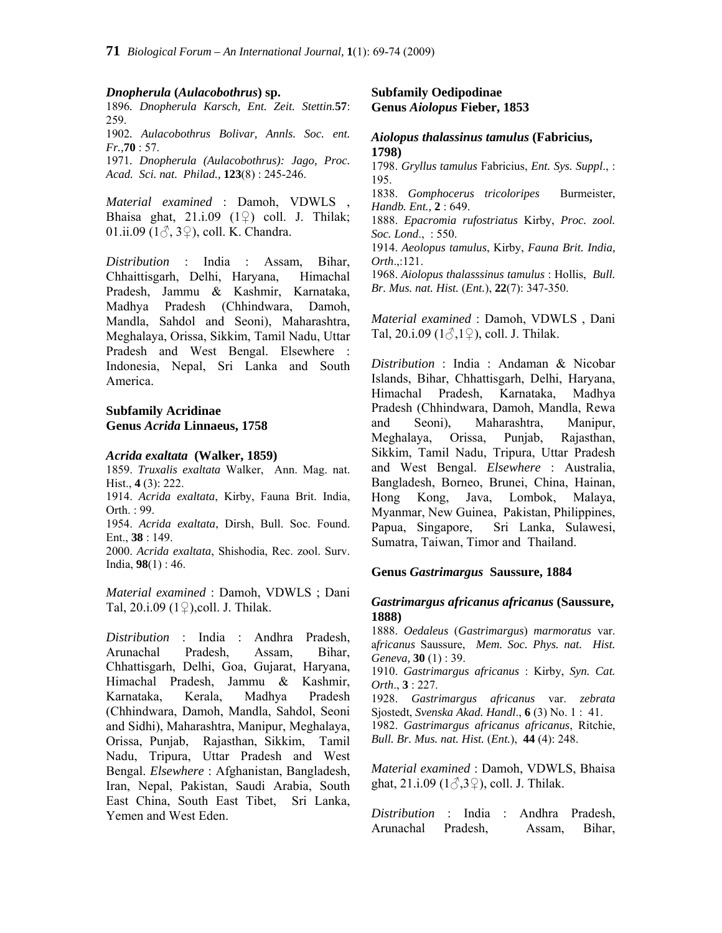#### *Dnopherula* **(***Aulacobothrus***) sp.**

1896*. Dnopherula Karsch, Ent. Zeit. Stettin.***57**: 259.

1902*. Aulacobothrus Bolivar, Annls. Soc. ent. Fr.,***70** : 57.

1971*. Dnopherula (Aulacobothrus): Jago, Proc. Acad. Sci. nat. Philad.,* **123**(8) : 245-246.

*Material examined* : Damoh, VDWLS , Bhaisa ghat,  $21.1.09$  (1 $\circ$ ) coll. J. Thilak; 01.ii.09 ( $1\delta$ ,  $3\delta$ ), coll. K. Chandra.

*Distribution* : India : Assam, Bihar, Chhaittisgarh, Delhi, Haryana, Himachal Pradesh, Jammu & Kashmir, Karnataka, Madhya Pradesh (Chhindwara, Damoh, Mandla, Sahdol and Seoni), Maharashtra, Meghalaya, Orissa, Sikkim, Tamil Nadu, Uttar Pradesh and West Bengal. Elsewhere : Indonesia, Nepal, Sri Lanka and South America.

#### **Subfamily Acridinae Genus** *Acrida* **Linnaeus, 1758**

#### *Acrida exaltata* **(Walker, 1859)**

1859. *Truxalis exaltata* Walker, Ann. Mag. nat. Hist., **4** (3): 222.

1914. *Acrida exaltata*, Kirby, Fauna Brit. India, Orth. : 99.

1954. *Acrida exaltata*, Dirsh, Bull. Soc. Found. Ent., **38** : 149.

2000. *Acrida exaltata*, Shishodia, Rec. zool. Surv. India, **98**(1) : 46.

*Material examined* : Damoh, VDWLS ; Dani Tal, 20.i.09 (1♀),coll. J. Thilak.

*Distribution* : India : Andhra Pradesh, Arunachal Pradesh, Assam, Bihar, Chhattisgarh, Delhi, Goa, Gujarat, Haryana, Himachal Pradesh, Jammu & Kashmir, Karnataka, Kerala, Madhya Pradesh (Chhindwara, Damoh, Mandla, Sahdol, Seoni and Sidhi), Maharashtra, Manipur, Meghalaya, Orissa, Punjab, Rajasthan, Sikkim, Tamil Nadu, Tripura, Uttar Pradesh and West Bengal. *Elsewhere* : Afghanistan, Bangladesh, Iran, Nepal, Pakistan, Saudi Arabia, South East China, South East Tibet, Sri Lanka, Yemen and West Eden.

**Subfamily Oedipodinae Genus** *Aiolopus* **Fieber, 1853** 

#### *Aiolopus thalassinus tamulus* **(Fabricius, 1798)**

1798. *Gryllus tamulus* Fabricius, *Ent. Sys. Suppl*., : 195.

1838. *Gomphocerus tricoloripes* Burmeister, *Handb. Ent.,* **2** : 649.

1888. *Epacromia rufostriatus* Kirby, *Proc. zool. Soc. Lond*., : 550.

1914. *Aeolopus tamulus*, Kirby, *Fauna Brit. India, Orth*.,:121.

1968. *Aiolopus thalasssinus tamulus* : Hollis, *Bull. Br. Mus. nat. Hist.* (*Ent.*), **22**(7): 347-350.

*Material examined* : Damoh, VDWLS , Dani Tal, 20.i.09 ( $1\textcircled{3}, 1\textcircled{2}$ ), coll. J. Thilak.

*Distribution* : India : Andaman & Nicobar Islands, Bihar, Chhattisgarh, Delhi, Haryana, Himachal Pradesh, Karnataka, Madhya Pradesh (Chhindwara, Damoh, Mandla, Rewa and Seoni), Maharashtra, Manipur, Meghalaya, Orissa, Punjab, Rajasthan, Sikkim, Tamil Nadu, Tripura, Uttar Pradesh and West Bengal. *Elsewhere* : Australia, Bangladesh, Borneo, Brunei, China, Hainan, Hong Kong, Java, Lombok, Malaya, Myanmar, New Guinea, Pakistan, Philippines, Papua, Singapore, Sri Lanka, Sulawesi, Sumatra, Taiwan, Timor and Thailand.

#### **Genus** *Gastrimargus* **Saussure, 1884**

#### *Gastrimargus africanus africanus* **(Saussure, 1888)**

1888. *Oedaleus* (*Gastrimargus*) *marmoratus* var. a*fricanus* Saussure, *Mem. Soc. Phys. nat. Hist. Geneva,* **30** (1) : 39.

1910. *Gastrimargus africanus* : Kirby, *Syn. Cat. Orth*., **3** : 227.

1928. *Gastrimargus africanus* var. *zebrata* Sjostedt, *Svenska Akad. Handl*., **6** (3) No. 1 : 41.

1982. *Gastrimargus africanus africanus*, Ritchie, *Bull. Br. Mus. nat. Hist.* (*Ent.*), **44** (4): 248.

*Material examined* : Damoh, VDWLS, Bhaisa ghat,  $21.i.09$  ( $1\textcircled{3}3\textcircled{2}$ ), coll. J. Thilak.

*Distribution* : India : Andhra Pradesh, Arunachal Pradesh, Assam, Bihar,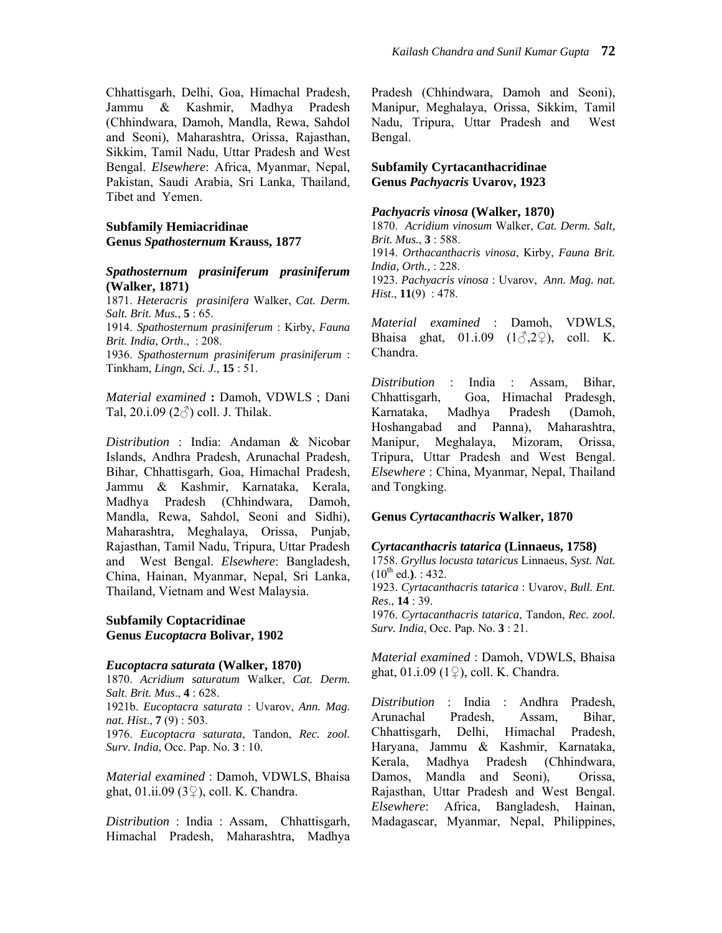Chhattisgarh, Delhi, Goa, Himachal Pradesh, Jammu & Kashmir, Madhya Pradesh (Chhindwara, Damoh, Mandla, Rewa, Sahdol and Seoni), Maharashtra, Orissa, Rajasthan, Sikkim, Tamil Nadu, Uttar Pradesh and West Bengal. *Elsewhere*: Africa, Myanmar, Nepal, Pakistan, Saudi Arabia, Sri Lanka, Thailand, Tibet and Yemen.

### **Subfamily Hemiacridinae Genus** *Spathosternum* **Krauss, 1877**

#### *Spathosternum prasiniferum prasiniferum* **(Walker, 1871)**

1871. *Heteracris prasinifera* Walker, *Cat. Derm. Salt. Brit. Mus.*, **5** : 65.

1914. *Spathosternum prasiniferum* : Kirby, *Fauna Brit. India, Orth*., : 208.

1936. *Spathosternum prasiniferum prasiniferum* : Tinkham, *Lingn, Sci. J*., **15** : 51.

*Material examined* **:** Damoh, VDWLS ; Dani Tal,  $20.i.09$  ( $2\textdegree\textdegree\degree$ ) coll. J. Thilak.

*Distribution* : India: Andaman & Nicobar Islands, Andhra Pradesh, Arunachal Pradesh, Bihar, Chhattisgarh, Goa, Himachal Pradesh, Jammu & Kashmir, Karnataka, Kerala, Madhya Pradesh (Chhindwara, Damoh, Mandla, Rewa, Sahdol, Seoni and Sidhi), Maharashtra, Meghalaya, Orissa, Punjab, Rajasthan, Tamil Nadu, Tripura, Uttar Pradesh and West Bengal. *Elsewhere*: Bangladesh, China, Hainan, Myanmar, Nepal, Sri Lanka, Thailand, Vietnam and West Malaysia.

#### **Subfamily Coptacridinae Genus** *Eucoptacra* **Bolivar, 1902**

#### *Eucoptacra saturata* **(Walker, 1870)**

1870. *Acridium saturatum* Walker, *Cat. Derm. Salt*. *Brit. Mus*., **4** : 628. 1921b. *Eucoptacra saturata* : Uvarov, *Ann. Mag. nat. Hist*., **7** (9) : 503. 1976. *Eucoptacra saturata*, Tandon, *Rec. zool. Surv. India*, Occ. Pap. No. **3** : 10.

*Material examined* : Damoh, VDWLS, Bhaisa ghat,  $01.ii.09$  ( $3\frac{9}{2}$ ), coll. K. Chandra.

*Distribution* : India : Assam, Chhattisgarh, Himachal Pradesh, Maharashtra, Madhya Pradesh (Chhindwara, Damoh and Seoni), Manipur, Meghalaya, Orissa, Sikkim, Tamil Nadu, Tripura, Uttar Pradesh and West Bengal.

# **Subfamily Cyrtacanthacridinae Genus** *Pachyacris* **Uvarov, 1923**

#### *Pachyacris vinosa* **(Walker, 1870)**

1870. *Acridium vinosum* Walker, *Cat. Derm. Salt, Brit. Mus.*, **3** : 588.

1914. *Orthacanthacris vinosa*, Kirby, *Fauna Brit. India, Orth.,* : 228.

1923. *Pachyacris vinosa* : Uvarov, *Ann. Mag. nat. Hist*., **11**(9) : 478.

*Material examined* : Damoh, VDWLS, Bhaisa ghat,  $01.i.09$   $(13.29)$ , coll. K. Chandra.

*Distribution* : India : Assam, Bihar, Chhattisgarh, Goa, Himachal Pradesgh, Karnataka, Madhya Pradesh (Damoh, Hoshangabad and Panna), Maharashtra, Manipur, Meghalaya, Mizoram, Orissa, Tripura, Uttar Pradesh and West Bengal. *Elsewhere* : China, Myanmar, Nepal, Thailand and Tongking.

#### **Genus** *Cyrtacanthacris* **Walker, 1870**

#### *Cyrtacanthacris tatarica* **(Linnaeus, 1758)**

1758. *Gryllus locusta tataricus* Linnaeus, *Syst. Nat.*   $(10^{th}$  ed.). : 432. 1923. *Cyrtacanthacris tatarica* : Uvarov, *Bull. Ent. Res*., **14** : 39. 1976. *Cyrtacanthacris tatarica*, Tandon, *Rec. zool. Surv. India*, Occ. Pap. No. **3** : 21.

*Material examined* : Damoh, VDWLS, Bhaisa ghat,  $01.i.09 (12)$ , coll. K. Chandra.

*Distribution* : India : Andhra Pradesh, Arunachal Pradesh, Assam, Bihar, Chhattisgarh, Delhi, Himachal Pradesh, Haryana, Jammu & Kashmir, Karnataka, Kerala, Madhya Pradesh (Chhindwara, Damos, Mandla and Seoni), Orissa, Rajasthan, Uttar Pradesh and West Bengal. *Elsewhere*: Africa, Bangladesh, Hainan, Madagascar, Myanmar, Nepal, Philippines,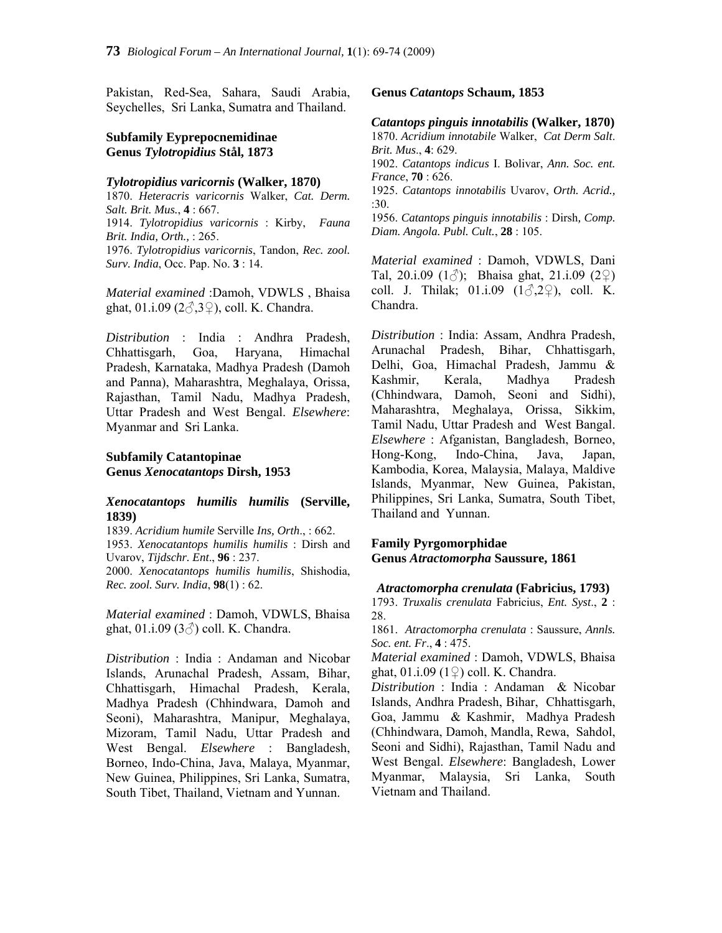Pakistan, Red-Sea, Sahara, Saudi Arabia, Seychelles, Sri Lanka, Sumatra and Thailand.

#### **Subfamily Eyprepocnemidinae Genus** *Tylotropidius* **Stål, 1873**

#### *Tylotropidius varicornis* **(Walker, 1870)**

1870. *Heteracris varicornis* Walker, *Cat. Derm. Salt. Brit. Mus.*, **4** : 667. 1914. *Tylotropidius varicornis* : Kirby, *Fauna Brit. India, Orth.,* : 265. 1976. *Tylotropidius varicornis*, Tandon, *Rec. zool. Surv. India*, Occ. Pap. No. **3** : 14.

*Material examined* :Damoh, VDWLS , Bhaisa ghat,  $01.1.09$  ( $2\text{A}32$ ), coll. K. Chandra.

*Distribution* : India : Andhra Pradesh, Chhattisgarh, Goa, Haryana, Himachal Pradesh, Karnataka, Madhya Pradesh (Damoh and Panna), Maharashtra, Meghalaya, Orissa, Rajasthan, Tamil Nadu, Madhya Pradesh, Uttar Pradesh and West Bengal. *Elsewhere*: Myanmar and Sri Lanka.

# **Subfamily Catantopinae Genus** *Xenocatantops* **Dirsh, 1953**

#### *Xenocatantops humilis humilis* **(Serville, 1839)**

1839. *Acridium humile* Serville *Ins, Orth*., : 662. 1953. *Xenocatantops humilis humilis* : Dirsh and

Uvarov, *Tijdschr. Ent*., **96** : 237. 2000. *Xenocatantops humilis humilis*, Shishodia,

*Rec. zool. Surv. India*, **98**(1) : 62.

*Material examined* : Damoh, VDWLS, Bhaisa ghat,  $01.i.09$  ( $3\textcircled{3}$ ) coll. K. Chandra.

*Distribution* : India : Andaman and Nicobar Islands, Arunachal Pradesh, Assam, Bihar, Chhattisgarh, Himachal Pradesh, Kerala, Madhya Pradesh (Chhindwara, Damoh and Seoni), Maharashtra, Manipur, Meghalaya, Mizoram, Tamil Nadu, Uttar Pradesh and West Bengal. *Elsewhere* : Bangladesh, Borneo, Indo-China, Java, Malaya, Myanmar, New Guinea, Philippines, Sri Lanka, Sumatra, South Tibet, Thailand, Vietnam and Yunnan.

#### **Genus** *Catantops* **Schaum, 1853**

#### *Catantops pinguis innotabilis* **(Walker, 1870)**

1870. *Acridium innotabile* Walker, *Cat Derm Salt*. *Brit. Mus*., **4**: 629.

1902. *Catantops indicus* I. Bolivar, *Ann. Soc. ent. France*, **70** : 626.

1925. *Catantops innotabilis* Uvarov, *Orth. Acrid.,*  :30.

1956. *Catantops pinguis innotabilis* : Dirsh*, Comp. Diam. Angola. Publ. Cult.*, **28** : 105.

*Material examined* : Damoh, VDWLS, Dani Tal, 20.i.09 (1 $\circ$ ); Bhaisa ghat, 21.i.09 (2 $\circ$ ) coll. J. Thilak;  $01.i.09$   $(13.29)$ , coll. K. Chandra.

*Distribution* : India: Assam, Andhra Pradesh, Arunachal Pradesh, Bihar, Chhattisgarh, Delhi, Goa, Himachal Pradesh, Jammu & Kashmir, Kerala, Madhya Pradesh (Chhindwara, Damoh, Seoni and Sidhi), Maharashtra, Meghalaya, Orissa, Sikkim, Tamil Nadu, Uttar Pradesh and West Bangal. *Elsewhere* : Afganistan, Bangladesh, Borneo, Hong-Kong, Indo-China, Java, Japan, Kambodia, Korea, Malaysia, Malaya, Maldive Islands, Myanmar, New Guinea, Pakistan, Philippines, Sri Lanka, Sumatra, South Tibet, Thailand and Yunnan.

# **Family Pyrgomorphidae Genus** *Atractomorpha* **Saussure, 1861**

#### *Atractomorpha crenulata* **(Fabricius, 1793)**

1793. *Truxalis crenulata* Fabricius, *Ent. Syst*., **2** : 28.

1861. *Atractomorpha crenulata* : Saussure, *Annls. Soc. ent. Fr*., **4** : 475.

*Material examined* : Damoh, VDWLS, Bhaisa ghat,  $01.i.09 (12)$  coll. K. Chandra.

*Distribution* : India : Andaman & Nicobar Islands, Andhra Pradesh, Bihar, Chhattisgarh, Goa, Jammu & Kashmir, Madhya Pradesh (Chhindwara, Damoh, Mandla, Rewa, Sahdol, Seoni and Sidhi), Rajasthan, Tamil Nadu and West Bengal. *Elsewhere*: Bangladesh, Lower Myanmar, Malaysia, Sri Lanka, South Vietnam and Thailand.